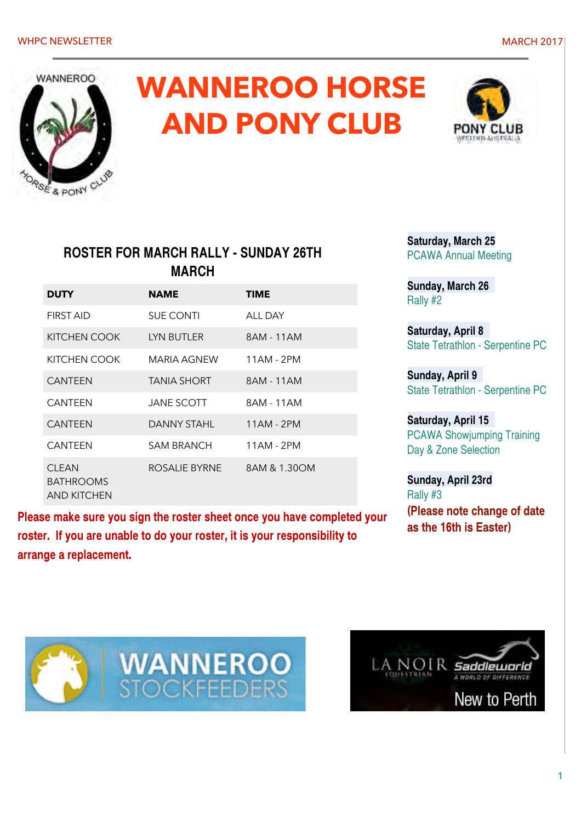

# **WANNEROO HORSE AND PONY CLUB**



#### **ROSTER FOR MARCH RALLY - SUNDAY 26TH MARCH**

| <b>DUTY</b>                                     | NAME              | TIME         |
|-------------------------------------------------|-------------------|--------------|
| <b>FIRST AID</b>                                | <b>SUE CONTI</b>  | ALL DAY      |
| KITCHEN COOK                                    | LYN BUTLER        | 8AM - 11AM   |
| KITCHEN COOK                                    | MARIA AGNEW       | 11AM - 2PM   |
| <b>CANTEEN</b>                                  | TANIA SHORT       | 8AM - 11AM   |
| <b>CANTEEN</b>                                  | <b>JANE SCOTT</b> | 8AM - 11AM   |
| <b>CANTFFN</b>                                  | DANNY STAHL       | 11AM - 2PM   |
| <b>CANTEEN</b>                                  | SAM BRANCH        | 11AM - 2PM   |
| <b>CLEAN</b><br><b>BATHROOMS</b><br>AND KITCHEN | ROSALIE BYRNE     | 8AM & 1.30OM |

**Please make sure you sign the roster sheet once you have completed your roster. If you are unable to do your roster, it is your responsibility to arrange a replacement.** 

**Saturday, March 25** PCAWA Annual Meeting

**Sunday, March 26**  Rally #2

**Saturday, April 8**  State Tetrathlon - Serpentine PC

**Sunday, April 9**  State Tetrathlon - Serpentine PC

**Saturday, April 15**  PCAWA Showjumping Training Day & Zone Selection

**Sunday, April 23rd**  Rally #3 **(Please note change of date as the 16th is Easter)**



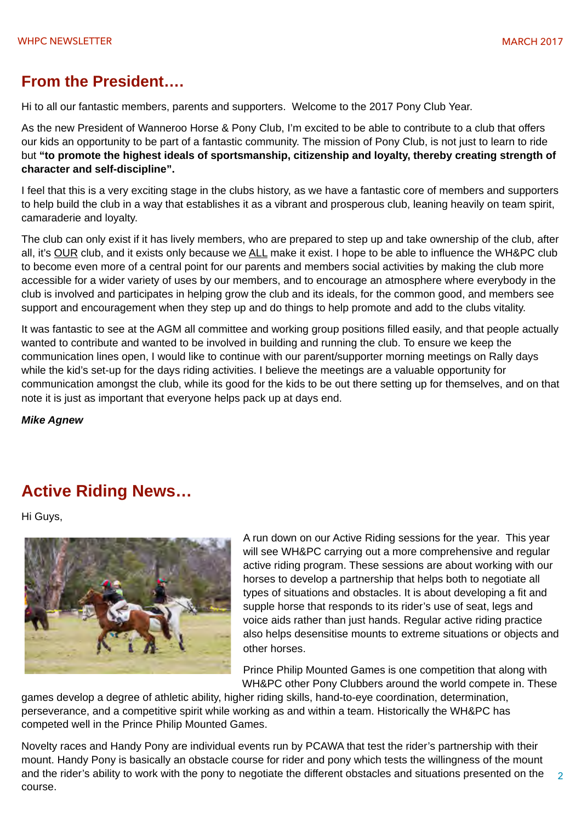#### **From the President….**

Hi to all our fantastic members, parents and supporters. Welcome to the 2017 Pony Club Year.

As the new President of Wanneroo Horse & Pony Club, I'm excited to be able to contribute to a club that offers our kids an opportunity to be part of a fantastic community. The mission of Pony Club, is not just to learn to ride but **"to promote the highest ideals of sportsmanship, citizenship and loyalty, thereby creating strength of character and self-discipline".** 

I feel that this is a very exciting stage in the clubs history, as we have a fantastic core of members and supporters to help build the club in a way that establishes it as a vibrant and prosperous club, leaning heavily on team spirit, camaraderie and loyalty.

The club can only exist if it has lively members, who are prepared to step up and take ownership of the club, after all, it's OUR club, and it exists only because we ALL make it exist. I hope to be able to influence the WH&PC club to become even more of a central point for our parents and members social activities by making the club more accessible for a wider variety of uses by our members, and to encourage an atmosphere where everybody in the club is involved and participates in helping grow the club and its ideals, for the common good, and members see support and encouragement when they step up and do things to help promote and add to the clubs vitality.

It was fantastic to see at the AGM all committee and working group positions filled easily, and that people actually wanted to contribute and wanted to be involved in building and running the club. To ensure we keep the communication lines open, I would like to continue with our parent/supporter morning meetings on Rally days while the kid's set-up for the days riding activities. I believe the meetings are a valuable opportunity for communication amongst the club, while its good for the kids to be out there setting up for themselves, and on that note it is just as important that everyone helps pack up at days end.

*Mike Agnew*

### **Active Riding News…**

Hi Guys,



A run down on our Active Riding sessions for the year. This year will see WH&PC carrying out a more comprehensive and regular active riding program. These sessions are about working with our horses to develop a partnership that helps both to negotiate all types of situations and obstacles. It is about developing a fit and supple horse that responds to its rider's use of seat, legs and voice aids rather than just hands. Regular active riding practice also helps desensitise mounts to extreme situations or objects and other horses.

Prince Philip Mounted Games is one competition that along with WH&PC other Pony Clubbers around the world compete in. These

games develop a degree of athletic ability, higher riding skills, hand-to-eye coordination, determination, perseverance, and a competitive spirit while working as and within a team. Historically the WH&PC has competed well in the Prince Philip Mounted Games.

Novelty races and Handy Pony are individual events run by PCAWA that test the rider's partnership with their mount. Handy Pony is basically an obstacle course for rider and pony which tests the willingness of the mount and the rider's ability to work with the pony to negotiate the different obstacles and situations presented on the course.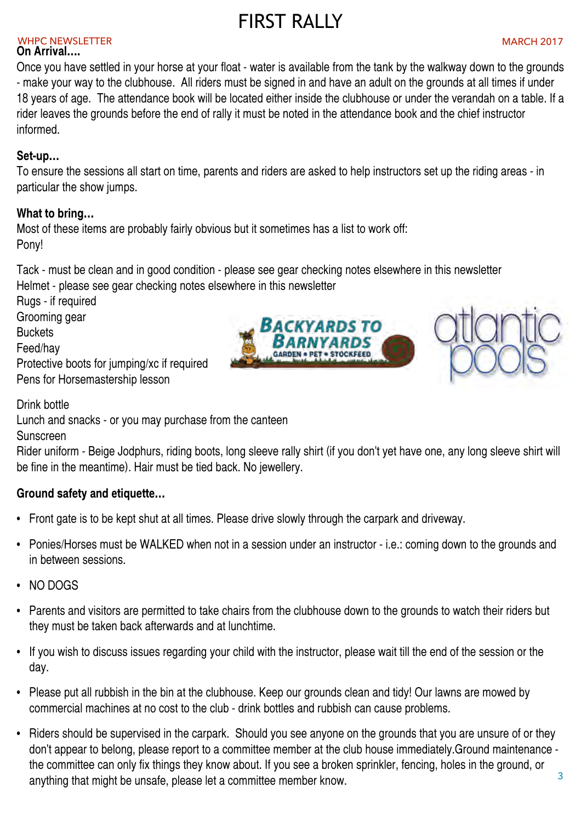### FIRST RALLY

#### WHPC NEWSLETTER AND INTERNATIONAL EXPLORER WHO IS A REPORT OF THE MARCH 2017

#### **On Arrival….**

Once you have settled in your horse at your float - water is available from the tank by the walkway down to the grounds - make your way to the clubhouse. All riders must be signed in and have an adult on the grounds at all times if under 18 years of age. The attendance book will be located either inside the clubhouse or under the verandah on a table. If a rider leaves the grounds before the end of rally it must be noted in the attendance book and the chief instructor informed.

#### **Set-up…**

To ensure the sessions all start on time, parents and riders are asked to help instructors set up the riding areas - in particular the show jumps.

#### **What to bring…**

Most of these items are probably fairly obvious but it sometimes has a list to work off: Pony!

Tack - must be clean and in good condition - please see gear checking notes elsewhere in this newsletter

Helmet - please see gear checking notes elsewhere in this newsletter

Rugs - if required

Grooming gear

**Buckets** 

Feed/hay

Protective boots for jumping/xc if required Pens for Horsemastership lesson

Drink bottle

Lunch and snacks - or you may purchase from the canteen

Sunscreen

Rider uniform - Beige Jodphurs, riding boots, long sleeve rally shirt (if you don't yet have one, any long sleeve shirt will be fine in the meantime). Hair must be tied back. No jewellery.

#### **Ground safety and etiquette…**

- Front gate is to be kept shut at all times. Please drive slowly through the carpark and driveway.
- Ponies/Horses must be WALKED when not in a session under an instructor i.e.: coming down to the grounds and in between sessions.
- NO DOGS
- Parents and visitors are permitted to take chairs from the clubhouse down to the grounds to watch their riders but they must be taken back afterwards and at lunchtime.
- If you wish to discuss issues regarding your child with the instructor, please wait till the end of the session or the day.
- Please put all rubbish in the bin at the clubhouse. Keep our grounds clean and tidy! Our lawns are mowed by commercial machines at no cost to the club - drink bottles and rubbish can cause problems.
- 3 • Riders should be supervised in the carpark. Should you see anyone on the grounds that you are unsure of or they don't appear to belong, please report to a committee member at the club house immediately.Ground maintenance the committee can only fix things they know about. If you see a broken sprinkler, fencing, holes in the ground, or anything that might be unsafe, please let a committee member know.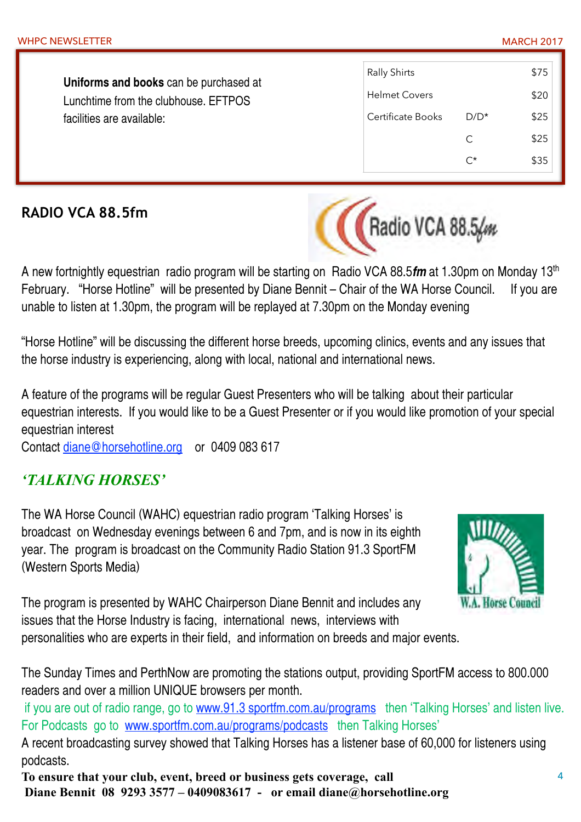C \$25

**Uniforms and books** can be purchased at Lunchtime from the clubhouse. EFTPOS facilities are available:

### **RADIO VCA 88.5fm**



Rally Shirts \$75

Helmet Covers 520

Certificate Books D/D<sup>\*</sup> \$25

A new fortnightly equestrian radio program will be starting on Radio VCA 88.5*fm* at 1.30pm on Monday 13th February. "Horse Hotline" will be presented by Diane Bennit – Chair of the WA Horse Council. If you are unable to listen at 1.30pm, the program will be replayed at 7.30pm on the Monday evening

"Horse Hotline" will be discussing the different horse breeds, upcoming clinics, events and any issues that the horse industry is experiencing, along with local, national and international news.

A feature of the programs will be regular Guest Presenters who will be talking about their particular equestrian interests. If you would like to be a Guest Presenter or if you would like promotion of your special equestrian interest

Contact [diane@horsehotline.org](mailto:diane@horsehotline.org) or 0409 083 617

#### *'TALKING HORSES'*

The WA Horse Council (WAHC) equestrian radio program 'Talking Horses' is broadcast on Wednesday evenings between 6 and 7pm, and is now in its eighth year. The program is broadcast on the Community Radio Station 91.3 SportFM (Western Sports Media)



The program is presented by WAHC Chairperson Diane Bennit and includes any issues that the Horse Industry is facing, international news, interviews with

personalities who are experts in their field, and information on breeds and major events.

The Sunday Times and PerthNow are promoting the stations output, providing SportFM access to 800.000 readers and over a million UNIQUE browsers per month.

if you are out of radio range, go to www.91.3 sportfm.com.au/programs then 'Talking Horses' and listen live. For Podcasts go to [www.sportfm.com.au/programs/podcasts](http://www.sportfm.com.au/programs/podcasts) then Talking Horses'

A recent broadcasting survey showed that Talking Horses has a listener base of 60,000 for listeners using podcasts.

**To ensure that your club, event, breed or business gets coverage, call Diane Bennit 08 9293 3577 – 0409083617 - or email diane@horsehotline.org**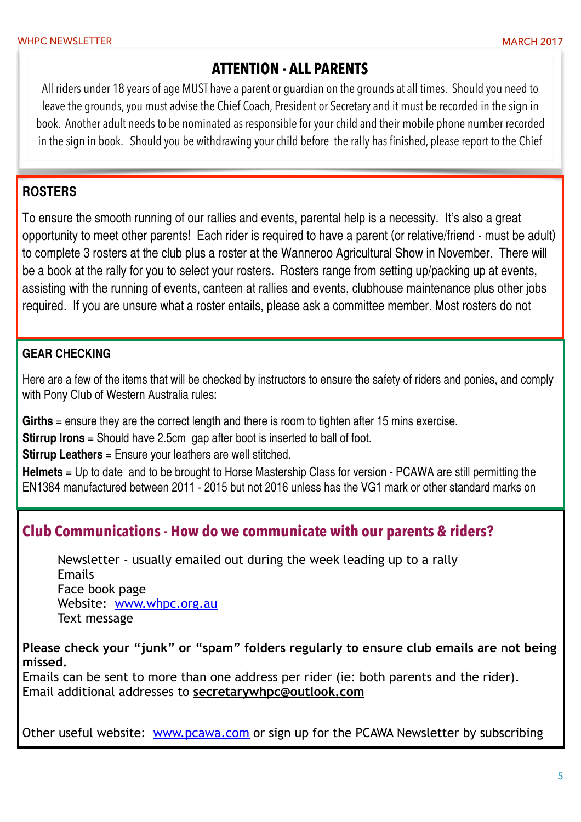#### **ATTENTION - ALL PARENTS**

All riders under 18 years of age MUST have a parent or guardian on the grounds at all times. Should you need to leave the grounds, you must advise the Chief Coach, President or Secretary and it must be recorded in the sign in book. Another adult needs to be nominated as responsible for your child and their mobile phone number recorded in the sign in book. Should you be withdrawing your child before the rally has finished, please report to the Chief

#### **ROSTERS**

To ensure the smooth running of our rallies and events, parental help is a necessity. It's also a great opportunity to meet other parents! Each rider is required to have a parent (or relative/friend - must be adult) to complete 3 rosters at the club plus a roster at the Wanneroo Agricultural Show in November. There will be a book at the rally for you to select your rosters. Rosters range from setting up/packing up at events, assisting with the running of events, canteen at rallies and events, clubhouse maintenance plus other jobs required. If you are unsure what a roster entails, please ask a committee member. Most rosters do not

#### **GEAR CHECKING**

Here are a few of the items that will be checked by instructors to ensure the safety of riders and ponies, and comply with Pony Club of Western Australia rules:

**Girths** = ensure they are the correct length and there is room to tighten after 15 mins exercise.

**Stirrup Irons** = Should have 2.5cm gap after boot is inserted to ball of foot.

**Stirrup Leathers** = Ensure your leathers are well stitched.

**Helmets** = Up to date and to be brought to Horse Mastership Class for version - PCAWA are still permitting the EN1384 manufactured between 2011 - 2015 but not 2016 unless has the VG1 mark or other standard marks on

#### **Club Communications - How do we communicate with our parents & riders?**

 Newsletter - usually emailed out during the week leading up to a rally Emails Face book page Website: [www.whpc.org.au](http://www.whpc.org.au) Text message

**Please check your "junk" or "spam" folders regularly to ensure club emails are not being missed.** 

Emails can be sent to more than one address per rider (ie: both parents and the rider). Email additional addresses to **secretarywhpc@outlook.com**

Other useful website: [www.pcawa.com](http://www.pcawa.com) or sign up for the PCAWA Newsletter by subscribing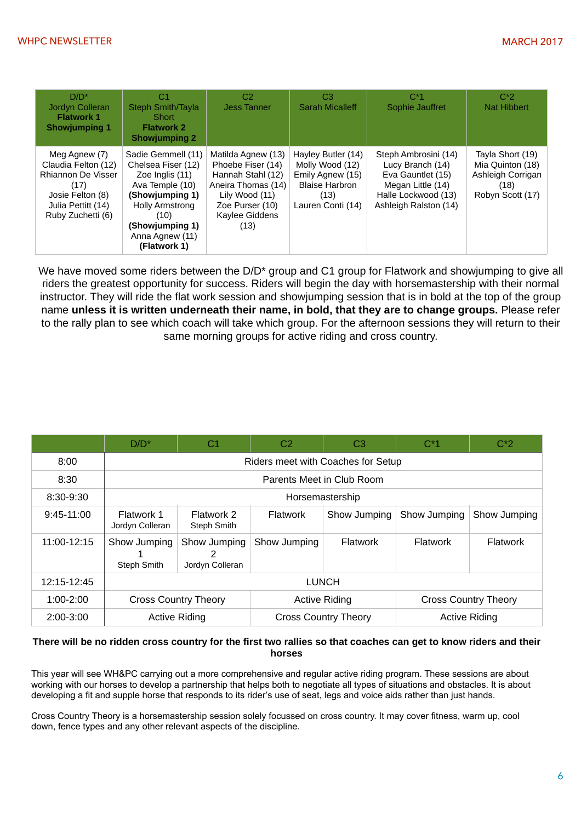| $D/D^*$<br>Jordyn Colleran<br><b>Flatwork 1</b><br><b>Showjumping 1</b>                                                           | C1<br><b>Steph Smith/Tayla</b><br>Short<br><b>Flatwork 2</b><br><b>Showjumping 2</b>                                                                                                      | C <sub>2</sub><br><b>Jess Tanner</b>                                                                                                              | C <sub>3</sub><br><b>Sarah Micalleff</b>                                                                        | $C^*1$<br>Sophie Jauffret                                                                                                          | $C^*2$<br><b>Nat Hibbert</b>                                                          |
|-----------------------------------------------------------------------------------------------------------------------------------|-------------------------------------------------------------------------------------------------------------------------------------------------------------------------------------------|---------------------------------------------------------------------------------------------------------------------------------------------------|-----------------------------------------------------------------------------------------------------------------|------------------------------------------------------------------------------------------------------------------------------------|---------------------------------------------------------------------------------------|
| Meg Agnew (7)<br>Claudia Felton (12)<br>Rhiannon De Visser<br>(17)<br>Josie Felton (8)<br>Julia Pettitt (14)<br>Ruby Zuchetti (6) | Sadie Gemmell (11)<br>Chelsea Fiser (12)<br>Zoe Inglis (11)<br>Ava Temple (10)<br>(Showjumping 1)<br><b>Holly Armstrong</b><br>(10)<br>(Showjumping 1)<br>Anna Agnew (11)<br>(Flatwork 1) | Matilda Agnew (13)<br>Phoebe Fiser (14)<br>Hannah Stahl (12)<br>Aneira Thomas (14)<br>Lily Wood (11)<br>Zoe Purser (10)<br>Kaylee Giddens<br>(13) | Hayley Butler (14)<br>Molly Wood (12)<br>Emily Agnew (15)<br><b>Blaise Harbron</b><br>(13)<br>Lauren Conti (14) | Steph Ambrosini (14)<br>Lucy Branch (14)<br>Eva Gauntlet (15)<br>Megan Little (14)<br>Halle Lockwood (13)<br>Ashleigh Ralston (14) | Tayla Short (19)<br>Mia Quinton (18)<br>Ashleigh Corrigan<br>(18)<br>Robyn Scott (17) |

We have moved some riders between the D/D<sup>\*</sup> group and C1 group for Flatwork and showjumping to give all riders the greatest opportunity for success. Riders will begin the day with horsemastership with their normal instructor. They will ride the flat work session and showjumping session that is in bold at the top of the group name **unless it is written underneath their name, in bold, that they are to change groups.** Please refer to the rally plan to see which coach will take which group. For the afternoon sessions they will return to their same morning groups for active riding and cross country.

|               | $D/D^*$                            | C1                              | C <sub>2</sub>              | C <sub>3</sub> | $C^*1$          | $C^*2$                      |  |
|---------------|------------------------------------|---------------------------------|-----------------------------|----------------|-----------------|-----------------------------|--|
| 8:00          | Riders meet with Coaches for Setup |                                 |                             |                |                 |                             |  |
| 8:30          |                                    | Parents Meet in Club Room       |                             |                |                 |                             |  |
| 8:30-9:30     |                                    | Horsemastership                 |                             |                |                 |                             |  |
| $9:45-11:00$  | Flatwork 1<br>Jordyn Colleran      | Flatwork 2<br>Steph Smith       | <b>Flatwork</b>             | Show Jumping   | Show Jumping    | Show Jumping                |  |
| 11:00-12:15   | Show Jumping<br>Steph Smith        | Show Jumping<br>Jordyn Colleran | Show Jumping                | Flatwork       | <b>Flatwork</b> | Flatwork                    |  |
| 12:15-12:45   | <b>LUNCH</b>                       |                                 |                             |                |                 |                             |  |
| $1:00 - 2:00$ |                                    | <b>Cross Country Theory</b>     | <b>Active Riding</b>        |                |                 | <b>Cross Country Theory</b> |  |
| 2:00-3:00     | <b>Active Riding</b>               |                                 | <b>Cross Country Theory</b> |                |                 | <b>Active Riding</b>        |  |

#### **There will be no ridden cross country for the first two rallies so that coaches can get to know riders and their horses**

This year will see WH&PC carrying out a more comprehensive and regular active riding program. These sessions are about working with our horses to develop a partnership that helps both to negotiate all types of situations and obstacles. It is about developing a fit and supple horse that responds to its rider's use of seat, legs and voice aids rather than just hands.

Cross Country Theory is a horsemastership session solely focussed on cross country. It may cover fitness, warm up, cool down, fence types and any other relevant aspects of the discipline.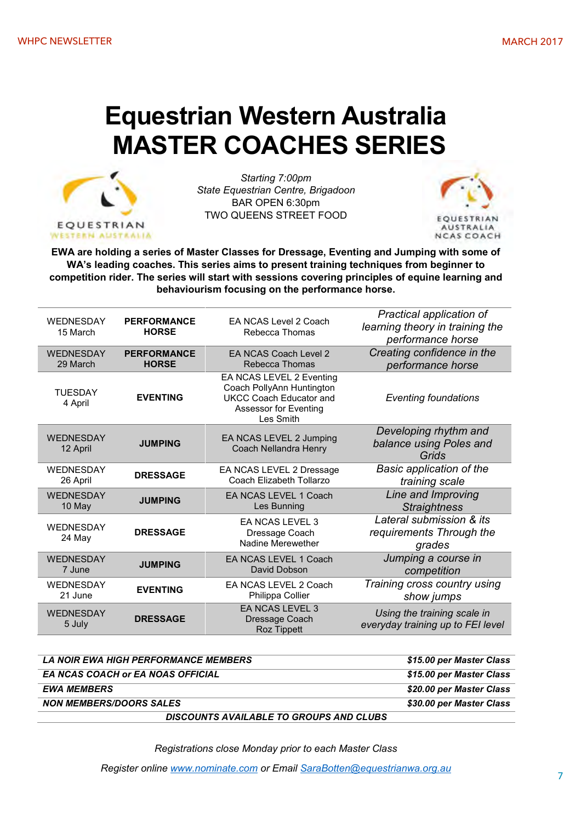# **Equestrian Western Australia MASTER COACHES SERIES**



*Starting 7:00pm State Equestrian Centre, Brigadoon* BAR OPEN 6:30pm TWO QUEENS STREET FOOD



**EWA are holding a series of Master Classes for Dressage, Eventing and Jumping with some of WA's leading coaches. This series aims to present training techniques from beginner to competition rider. The series will start with sessions covering principles of equine learning and behaviourism focusing on the performance horse.**

| WEDNESDAY<br>15 March        | FA NCAS Level 2 Coach<br><b>PERFORMANCE</b><br><b>HORSE</b><br>Rebecca Thomas |                                                                                                                               | Practical application of<br>learning theory in training the<br>performance horse |
|------------------------------|-------------------------------------------------------------------------------|-------------------------------------------------------------------------------------------------------------------------------|----------------------------------------------------------------------------------|
| <b>WEDNESDAY</b>             | <b>PERFORMANCE</b>                                                            | FA NCAS Coach Level 2                                                                                                         | Creating confidence in the                                                       |
| 29 March                     | <b>HORSE</b>                                                                  | Rebecca Thomas                                                                                                                | performance horse                                                                |
| <b>TUESDAY</b><br>4 April    | <b>EVENTING</b>                                                               | EA NCAS LEVEL 2 Eventing<br>Coach PollyAnn Huntington<br><b>UKCC Coach Educator and</b><br>Assessor for Eventing<br>Les Smith | <b>Eventing foundations</b>                                                      |
| <b>WEDNESDAY</b><br>12 April | <b>JUMPING</b>                                                                | EA NCAS LEVEL 2 Jumping<br>Coach Nellandra Henry                                                                              | Developing rhythm and<br>balance using Poles and<br>Grids                        |
| <b>WEDNESDAY</b>             | <b>DRESSAGE</b>                                                               | EA NCAS LEVEL 2 Dressage                                                                                                      | <b>Basic application of the</b>                                                  |
| 26 April                     |                                                                               | Coach Elizabeth Tollarzo                                                                                                      | training scale                                                                   |
| WEDNESDAY                    | <b>JUMPING</b>                                                                | EA NCAS LEVEL 1 Coach                                                                                                         | Line and Improving                                                               |
| 10 May                       |                                                                               | Les Bunning                                                                                                                   | <b>Straightness</b>                                                              |
| WEDNESDAY<br>24 May          | <b>DRESSAGE</b>                                                               | EA NCAS LEVEL 3<br>Dressage Coach<br>Nadine Merewether                                                                        | Lateral submission & its<br>requirements Through the<br>grades                   |
| <b>WEDNESDAY</b>             | <b>JUMPING</b>                                                                | EA NCAS LEVEL 1 Coach                                                                                                         | Jumping a course in                                                              |
| 7 June                       |                                                                               | David Dobson                                                                                                                  | competition                                                                      |
| <b>WEDNESDAY</b>             | <b>EVENTING</b>                                                               | EA NCAS LEVEL 2 Coach                                                                                                         | Training cross country using                                                     |
| 21 June                      |                                                                               | Philippa Collier                                                                                                              | show jumps                                                                       |
| <b>WEDNESDAY</b><br>5 July   | <b>DRESSAGE</b>                                                               | <b>EA NCAS LEVEL 3</b><br>Dressage Coach<br><b>Roz Tippett</b>                                                                | Using the training scale in<br>everyday training up to FEI level                 |

| LA NOIR EWA HIGH PERFORMANCE MEMBERS     | \$15.00 per Master Class |
|------------------------------------------|--------------------------|
| <b>EA NCAS COACH or EA NOAS OFFICIAL</b> | \$15.00 per Master Class |
| <b>EWA MEMBERS</b>                       | \$20.00 per Master Class |
| <b>NON MEMBERS/DOORS SALES</b>           | \$30.00 per Master Class |
| DISCOUNTS AVAILABLE TO GROUPS AND CLUBS  |                          |

*Registrations close Monday prior to each Master Class*

*Register online www.nominate.com or Email SaraBotten@equestrianwa.org.au*